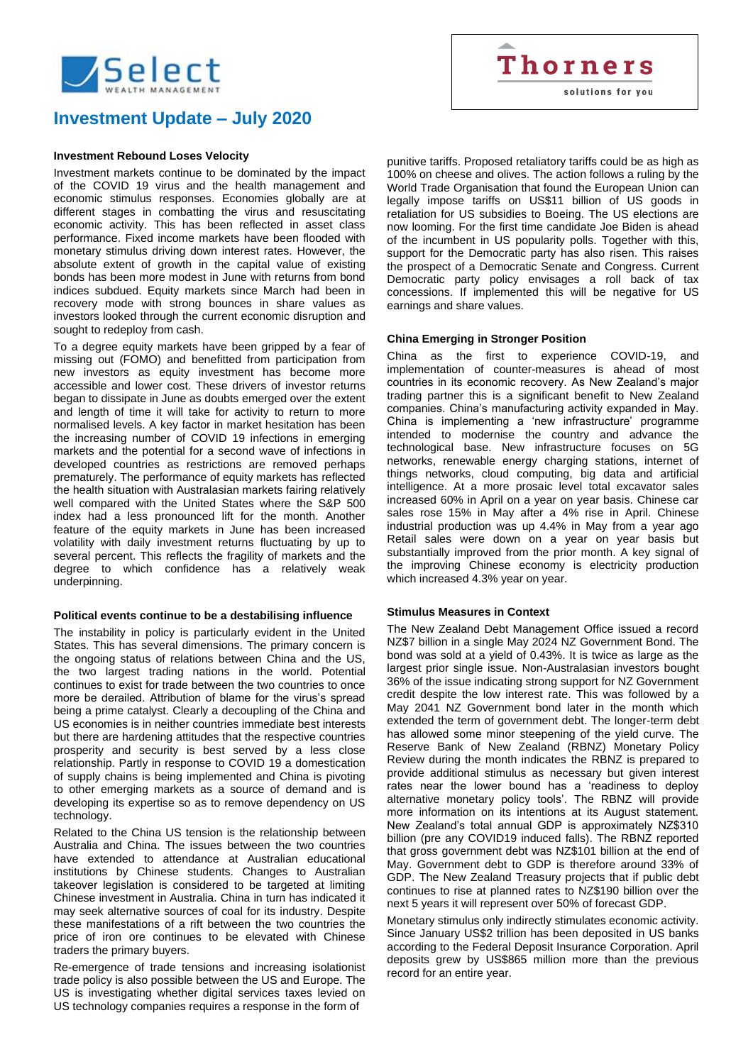

# **Investment Update – July 2020**

## **Investment Rebound Loses Velocity**

Investment markets continue to be dominated by the impact of the COVID 19 virus and the health management and economic stimulus responses. Economies globally are at different stages in combatting the virus and resuscitating economic activity. This has been reflected in asset class performance. Fixed income markets have been flooded with monetary stimulus driving down interest rates. However, the absolute extent of growth in the capital value of existing bonds has been more modest in June with returns from bond indices subdued. Equity markets since March had been in recovery mode with strong bounces in share values as investors looked through the current economic disruption and sought to redeploy from cash.

To a degree equity markets have been gripped by a fear of missing out (FOMO) and benefitted from participation from new investors as equity investment has become more accessible and lower cost. These drivers of investor returns began to dissipate in June as doubts emerged over the extent and length of time it will take for activity to return to more normalised levels. A key factor in market hesitation has been the increasing number of COVID 19 infections in emerging markets and the potential for a second wave of infections in developed countries as restrictions are removed perhaps prematurely. The performance of equity markets has reflected the health situation with Australasian markets fairing relatively well compared with the United States where the S&P 500 index had a less pronounced lift for the month. Another feature of the equity markets in June has been increased volatility with daily investment returns fluctuating by up to several percent. This reflects the fragility of markets and the degree to which confidence has a relatively weak underpinning.

#### **Political events continue to be a destabilising influence**

The instability in policy is particularly evident in the United States. This has several dimensions. The primary concern is the ongoing status of relations between China and the US, the two largest trading nations in the world. Potential continues to exist for trade between the two countries to once more be derailed. Attribution of blame for the virus's spread being a prime catalyst. Clearly a decoupling of the China and US economies is in neither countries immediate best interests but there are hardening attitudes that the respective countries prosperity and security is best served by a less close relationship. Partly in response to COVID 19 a domestication of supply chains is being implemented and China is pivoting to other emerging markets as a source of demand and is developing its expertise so as to remove dependency on US technology.

Related to the China US tension is the relationship between Australia and China. The issues between the two countries have extended to attendance at Australian educational institutions by Chinese students. Changes to Australian takeover legislation is considered to be targeted at limiting Chinese investment in Australia. China in turn has indicated it may seek alternative sources of coal for its industry. Despite these manifestations of a rift between the two countries the price of iron ore continues to be elevated with Chinese traders the primary buyers.

Re-emergence of trade tensions and increasing isolationist trade policy is also possible between the US and Europe. The US is investigating whether digital services taxes levied on US technology companies requires a response in the form of

punitive tariffs. Proposed retaliatory tariffs could be as high as 100% on cheese and olives. The action follows a ruling by the World Trade Organisation that found the European Union can legally impose tariffs on US\$11 billion of US goods in retaliation for US subsidies to Boeing. The US elections are now looming. For the first time candidate Joe Biden is ahead of the incumbent in US popularity polls. Together with this, support for the Democratic party has also risen. This raises the prospect of a Democratic Senate and Congress. Current Democratic party policy envisages a roll back of tax concessions. If implemented this will be negative for US earnings and share values.

**Thorners** 

solutions for you

#### **China Emerging in Stronger Position**

China as the first to experience COVID-19, and implementation of counter-measures is ahead of most countries in its economic recovery. As New Zealand's major trading partner this is a significant benefit to New Zealand companies. China's manufacturing activity expanded in May. China is implementing a 'new infrastructure' programme intended to modernise the country and advance the technological base. New infrastructure focuses on 5G networks, renewable energy charging stations, internet of things networks, cloud computing, big data and artificial intelligence. At a more prosaic level total excavator sales increased 60% in April on a year on year basis. Chinese car sales rose 15% in May after a 4% rise in April. Chinese industrial production was up 4.4% in May from a year ago Retail sales were down on a year on year basis but substantially improved from the prior month. A key signal of the improving Chinese economy is electricity production which increased 4.3% year on year.

#### **Stimulus Measures in Context**

The New Zealand Debt Management Office issued a record NZ\$7 billion in a single May 2024 NZ Government Bond. The bond was sold at a yield of 0.43%. It is twice as large as the largest prior single issue. Non-Australasian investors bought 36% of the issue indicating strong support for NZ Government credit despite the low interest rate. This was followed by a May 2041 NZ Government bond later in the month which extended the term of government debt. The longer-term debt has allowed some minor steepening of the yield curve. The Reserve Bank of New Zealand (RBNZ) Monetary Policy Review during the month indicates the RBNZ is prepared to provide additional stimulus as necessary but given interest rates near the lower bound has a 'readiness to deploy alternative monetary policy tools'. The RBNZ will provide more information on its intentions at its August statement. New Zealand's total annual GDP is approximately NZ\$310 billion (pre any COVID19 induced falls). The RBNZ reported that gross government debt was NZ\$101 billion at the end of May. Government debt to GDP is therefore around 33% of GDP. The New Zealand Treasury projects that if public debt continues to rise at planned rates to NZ\$190 billion over the next 5 years it will represent over 50% of forecast GDP.

Monetary stimulus only indirectly stimulates economic activity. Since January US\$2 trillion has been deposited in US banks according to the Federal Deposit Insurance Corporation. April deposits grew by US\$865 million more than the previous record for an entire year.